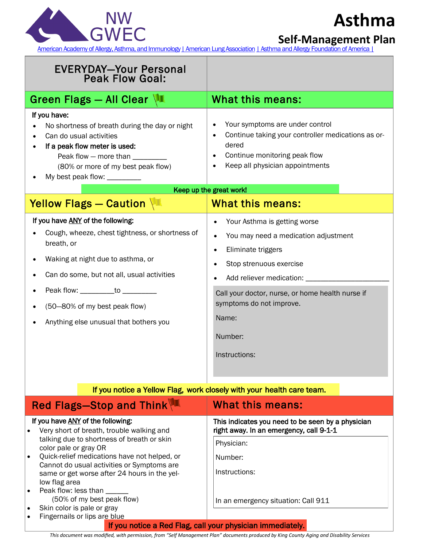

## **Asthma**

**Self-Management Plan**

[American Academy of Allergy, Asthma, and Immunology](http://www.aaaai.org/home.aspx) [| American Lung Association](http://www.lung.org/) [| Asthma and Allergy Foundation of America |](http://www.aafa.org/)

| <b>EVERYDAY-Your Personal</b><br><b>Peak Flow Goal:</b>                                                                                                                                                                                                                                                                                                                                                                                                    |                                                                                                                                                                                                                                                                                                             |
|------------------------------------------------------------------------------------------------------------------------------------------------------------------------------------------------------------------------------------------------------------------------------------------------------------------------------------------------------------------------------------------------------------------------------------------------------------|-------------------------------------------------------------------------------------------------------------------------------------------------------------------------------------------------------------------------------------------------------------------------------------------------------------|
| Green Flags - All Clear                                                                                                                                                                                                                                                                                                                                                                                                                                    | What this means:                                                                                                                                                                                                                                                                                            |
| If you have:<br>No shortness of breath during the day or night<br>Can do usual activities<br>If a peak flow meter is used:<br>Peak flow - more than ________<br>(80% or more of my best peak flow)<br>My best peak flow: _________                                                                                                                                                                                                                         | Your symptoms are under control<br>Continue taking your controller medications as or-<br>dered<br>Continue monitoring peak flow<br>Keep all physician appointments<br>Keep up the great work!                                                                                                               |
| Yellow Flags - Caution                                                                                                                                                                                                                                                                                                                                                                                                                                     | What this means:                                                                                                                                                                                                                                                                                            |
| If you have ANY of the following:<br>Cough, wheeze, chest tightness, or shortness of<br>breath, or<br>Waking at night due to asthma, or<br>Can do some, but not all, usual activities<br>Peak flow: ___________to __________<br>(50-80% of my best peak flow)<br>Anything else unusual that bothers you                                                                                                                                                    | Your Asthma is getting worse<br>You may need a medication adjustment<br>$\bullet$<br>Eliminate triggers<br>$\bullet$<br>Stop strenuous exercise<br>٠<br>Add reliever medication: _____<br>Call your doctor, nurse, or home health nurse if<br>symptoms do not improve.<br>Name:<br>Number:<br>Instructions: |
| If you notice a Yellow Flag, work closely with your health care team.                                                                                                                                                                                                                                                                                                                                                                                      |                                                                                                                                                                                                                                                                                                             |
| Red Flags-Stop and Think                                                                                                                                                                                                                                                                                                                                                                                                                                   | <b>What this means:</b>                                                                                                                                                                                                                                                                                     |
| If you have ANY of the following:<br>Very short of breath, trouble walking and<br>$\bullet$<br>talking due to shortness of breath or skin<br>color pale or gray OR<br>Quick-relief medications have not helped, or<br>$\bullet$<br>Cannot do usual activities or Symptoms are<br>same or get worse after 24 hours in the yel-<br>low flag area<br>Peak flow: less than _____<br>٠<br>(50% of my best peak flow)<br>Skin color is pale or gray<br>$\bullet$ | This indicates you need to be seen by a physician<br>right away. In an emergency, call 9-1-1<br>Physician:<br>Number:<br>Instructions:<br>In an emergency situation: Call 911                                                                                                                               |
| Fingernails or lips are blue<br>If you notice a Red Flag, call your physician immediately.                                                                                                                                                                                                                                                                                                                                                                 |                                                                                                                                                                                                                                                                                                             |

*This document was modified, with permission, from "Self Management Plan" documents produced by King County Aging and Disability Service[s](http://www.lungusa.org/)*